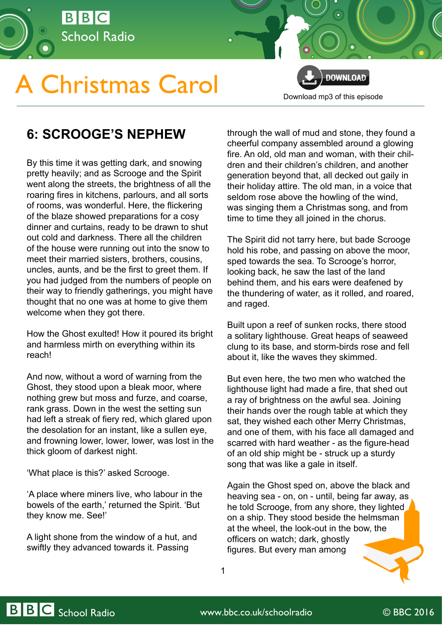

## **A Christmas Carol**

**DOWNLOAD** [Download mp3 of this episode](http://open.live.bbc.co.uk/mediaselector/5/redir/version/2.0/mediaset/audio-nondrm-download/proto/http/vpid/p02qgfxr.mp3)

## **6: SCROOGE'S NEPHEW**

By this time it was getting dark, and snowing pretty heavily; and as Scrooge and the Spirit went along the streets, the brightness of all the roaring fires in kitchens, parlours, and all sorts of rooms, was wonderful. Here, the flickering of the blaze showed preparations for a cosy dinner and curtains, ready to be drawn to shut out cold and darkness. There all the children of the house were running out into the snow to meet their married sisters, brothers, cousins, uncles, aunts, and be the first to greet them. If you had judged from the numbers of people on their way to friendly gatherings, you might have thought that no one was at home to give them welcome when they got there.

How the Ghost exulted! How it poured its bright and harmless mirth on everything within its reach!

And now, without a word of warning from the Ghost, they stood upon a bleak moor, where nothing grew but moss and furze, and coarse, rank grass. Down in the west the setting sun had left a streak of fiery red, which glared upon the desolation for an instant, like a sullen eye, and frowning lower, lower, lower, was lost in the thick gloom of darkest night.

'What place is this?' asked Scrooge.

'A place where miners live, who labour in the bowels of the earth,' returned the Spirit. 'But they know me. See!'

A light shone from the window of a hut, and swiftly they advanced towards it. Passing

through the wall of mud and stone, they found a cheerful company assembled around a glowing fire. An old, old man and woman, with their children and their children's children, and another generation beyond that, all decked out gaily in their holiday attire. The old man, in a voice that seldom rose above the howling of the wind, was singing them a Christmas song, and from time to time they all joined in the chorus.

The Spirit did not tarry here, but bade Scrooge hold his robe, and passing on above the moor, sped towards the sea. To Scrooge's horror, looking back, he saw the last of the land behind them, and his ears were deafened by the thundering of water, as it rolled, and roared, and raged.

Built upon a reef of sunken rocks, there stood a solitary lighthouse. Great heaps of seaweed clung to its base, and storm-birds rose and fell about it, like the waves they skimmed.

But even here, the two men who watched the lighthouse light had made a fire, that shed out a ray of brightness on the awful sea. Joining their hands over the rough table at which they sat, they wished each other Merry Christmas, and one of them, with his face all damaged and scarred with hard weather - as the figure-head of an old ship might be - struck up a sturdy song that was like a gale in itself.

Again the Ghost sped on, above the black and heaving sea - on, on - until, being far away, as he told Scrooge, from any shore, they lighted on a ship. They stood beside the helmsman at the wheel, the look-out in the bow, the officers on watch; dark, ghostly figures. But every man among

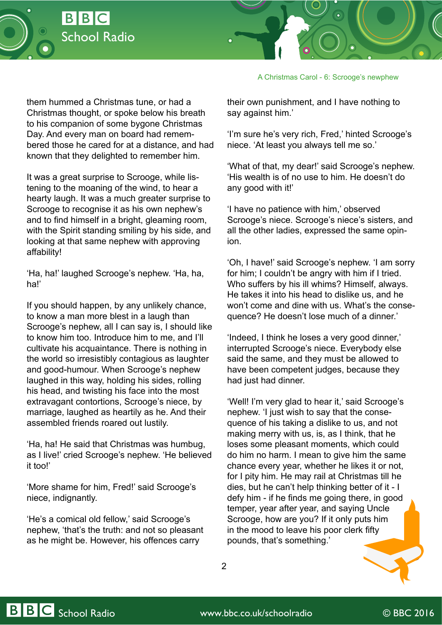



A Christmas Carol - 6: Scrooge's newphew

them hummed a Christmas tune, or had a Christmas thought, or spoke below his breath to his companion of some bygone Christmas Day. And every man on board had remembered those he cared for at a distance, and had known that they delighted to remember him.

It was a great surprise to Scrooge, while listening to the moaning of the wind, to hear a hearty laugh. It was a much greater surprise to Scrooge to recognise it as his own nephew's and to find himself in a bright, gleaming room, with the Spirit standing smiling by his side, and looking at that same nephew with approving affability!

'Ha, ha!' laughed Scrooge's nephew. 'Ha, ha, ha!'

If you should happen, by any unlikely chance, to know a man more blest in a laugh than Scrooge's nephew, all I can say is, I should like to know him too. Introduce him to me, and I'll cultivate his acquaintance. There is nothing in the world so irresistibly contagious as laughter and good-humour. When Scrooge's nephew laughed in this way, holding his sides, rolling his head, and twisting his face into the most extravagant contortions, Scrooge's niece, by marriage, laughed as heartily as he. And their assembled friends roared out lustily.

'Ha, ha! He said that Christmas was humbug, as I live!' cried Scrooge's nephew. 'He believed it too!'

'More shame for him, Fred!' said Scrooge's niece, indignantly.

'He's a comical old fellow,' said Scrooge's nephew, 'that's the truth: and not so pleasant as he might be. However, his offences carry

their own punishment, and I have nothing to say against him.'

'I'm sure he's very rich, Fred,' hinted Scrooge's niece. 'At least you always tell me so.'

'What of that, my dear!' said Scrooge's nephew. 'His wealth is of no use to him. He doesn't do any good with it!'

'I have no patience with him,' observed Scrooge's niece. Scrooge's niece's sisters, and all the other ladies, expressed the same opinion.

'Oh, I have!' said Scrooge's nephew. 'I am sorry for him; I couldn't be angry with him if I tried. Who suffers by his ill whims? Himself, always. He takes it into his head to dislike us, and he won't come and dine with us. What's the consequence? He doesn't lose much of a dinner.'

'Indeed, I think he loses a very good dinner,' interrupted Scrooge's niece. Everybody else said the same, and they must be allowed to have been competent judges, because they had just had dinner.

'Well! I'm very glad to hear it,' said Scrooge's nephew. 'I just wish to say that the consequence of his taking a dislike to us, and not making merry with us, is, as I think, that he loses some pleasant moments, which could do him no harm. I mean to give him the same chance every year, whether he likes it or not, for I pity him. He may rail at Christmas till he dies, but he can't help thinking better of it - I defy him - if he finds me going there, in good temper, year after year, and saying Uncle Scrooge, how are you? If it only puts him in the mood to leave his poor clerk fifty pounds, that's something.'

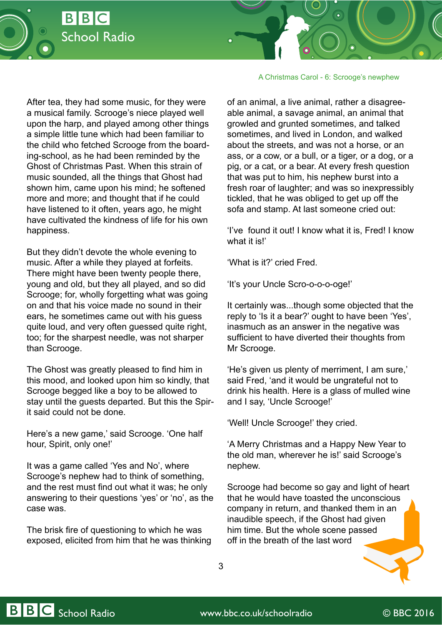

A Christmas Carol - 6: Scrooge's newphew

After tea, they had some music, for they were a musical family. Scrooge's niece played well upon the harp, and played among other things a simple little tune which had been familiar to the child who fetched Scrooge from the boarding-school, as he had been reminded by the Ghost of Christmas Past. When this strain of music sounded, all the things that Ghost had shown him, came upon his mind; he softened more and more; and thought that if he could have listened to it often, years ago, he might have cultivated the kindness of life for his own happiness.

But they didn't devote the whole evening to music. After a while they played at forfeits. There might have been twenty people there, young and old, but they all played, and so did Scrooge; for, wholly forgetting what was going on and that his voice made no sound in their ears, he sometimes came out with his guess quite loud, and very often guessed quite right, too; for the sharpest needle, was not sharper than Scrooge.

The Ghost was greatly pleased to find him in this mood, and looked upon him so kindly, that Scrooge begged like a boy to be allowed to stay until the guests departed. But this the Spirit said could not be done.

Here's a new game,' said Scrooge. 'One half hour, Spirit, only one!'

It was a game called 'Yes and No', where Scrooge's nephew had to think of something, and the rest must find out what it was; he only answering to their questions 'yes' or 'no', as the case was.

The brisk fire of questioning to which he was exposed, elicited from him that he was thinking

of an animal, a live animal, rather a disagreeable animal, a savage animal, an animal that growled and grunted sometimes, and talked sometimes, and lived in London, and walked about the streets, and was not a horse, or an ass, or a cow, or a bull, or a tiger, or a dog, or a pig, or a cat, or a bear. At every fresh question that was put to him, his nephew burst into a fresh roar of laughter; and was so inexpressibly tickled, that he was obliged to get up off the sofa and stamp. At last someone cried out:

'I've found it out! I know what it is, Fred! I know what it is!'

'What is it?' cried Fred.

'It's your Uncle Scro-o-o-o-oge!'

It certainly was...though some objected that the reply to 'Is it a bear?' ought to have been 'Yes', inasmuch as an answer in the negative was sufficient to have diverted their thoughts from Mr Scrooge.

'He's given us plenty of merriment, I am sure,' said Fred, 'and it would be ungrateful not to drink his health. Here is a glass of mulled wine and I say, 'Uncle Scrooge!'

'Well! Uncle Scrooge!' they cried.

'A Merry Christmas and a Happy New Year to the old man, wherever he is!' said Scrooge's nephew.

Scrooge had become so gay and light of heart that he would have toasted the unconscious company in return, and thanked them in an inaudible speech, if the Ghost had given him time. But the whole scene passed off in the breath of the last word

3